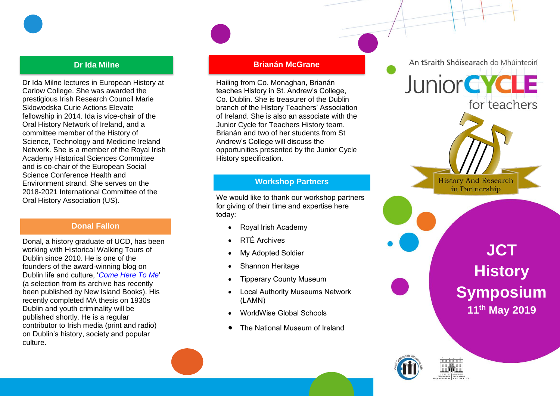

#### **Dr Ida Milne**

Dr Ida Milne lectures in European History at Carlow College. She was awarded the prestigious Irish Research Council Marie Sklowodska Curie Actions Elevate fellowship in 2014. Ida is vice -chair of the Oral History Network of Ireland, and a committee member of the History of Science, Technology and Medicine Ireland Network. She is a member of the Royal Irish Academy Historical Sciences Committee and is co -chair of the European Social Science Conference Health and Environment strand. She serves on the 2018 -2021 International Committee of the Oral History Association (US) .

#### **Donal Fallon**

Donal, a history graduate of UCD, has been working with Historical Walking Tours of Dublin since 2010. He is one of the founders of the award -winning blog on Dublin life and culture, '*[Come Here To Me](http://comeheretome.com/)*' (a selection from its archive has recently been published by New Island Books). His recently completed MA thesis on 1930s Dublin and youth criminality will be published shortly. He is a regular contributor to Irish media (print and radio) on Dublin's history, society and popular culture.

#### **Brianán McGrane**

Hailing from Co. Monaghan, Brianán teaches History in St. Andrew's College, Co. Dublin. She is treasurer of the Dublin branch of the History Teachers' Association of Ireland. She is also an associate with the Junior Cycle for Teachers History team. Brianán and two of her students from St Andrew's College will discuss the opportunities presented by the Junior Cycle History specification.

#### **Workshop Partners**

We would like to thank our workshop partners for giving of their time and expertise here today:

- Royal Irish Academy
- RTÉ Archives
- My Adopted Soldier
- Shannon Heritage
- Tipperary County Museum
- Local Authority Museums Network (LAMN)
- WorldWise Global Schools
- The National Museum of Ireland



An tSraith Shóisearach do Mhúinteoirí

**History And Research** in Partnership

## **JCT History Symposium 11th May 2019**